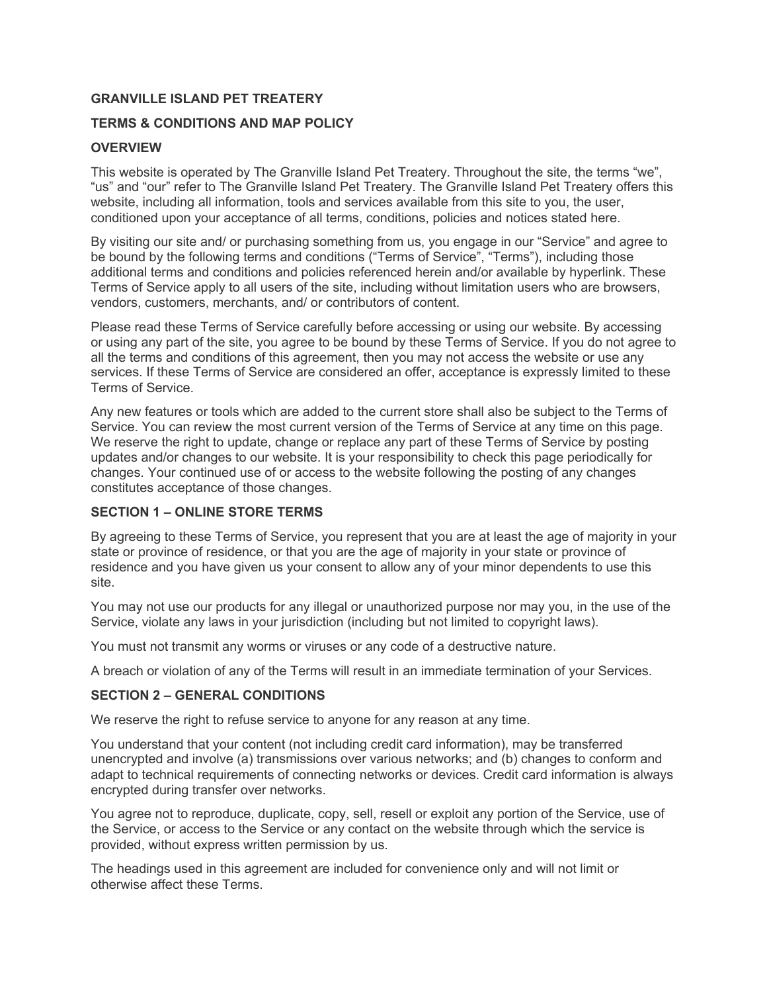## **GRANVILLE ISLAND PET TREATERY**

## **TERMS & CONDITIONS AND MAP POLICY**

### **OVERVIEW**

This website is operated by The Granville Island Pet Treatery. Throughout the site, the terms "we", "us" and "our" refer to The Granville Island Pet Treatery. The Granville Island Pet Treatery offers this website, including all information, tools and services available from this site to you, the user, conditioned upon your acceptance of all terms, conditions, policies and notices stated here.

By visiting our site and/ or purchasing something from us, you engage in our "Service" and agree to be bound by the following terms and conditions ("Terms of Service", "Terms"), including those additional terms and conditions and policies referenced herein and/or available by hyperlink. These Terms of Service apply to all users of the site, including without limitation users who are browsers, vendors, customers, merchants, and/ or contributors of content.

Please read these Terms of Service carefully before accessing or using our website. By accessing or using any part of the site, you agree to be bound by these Terms of Service. If you do not agree to all the terms and conditions of this agreement, then you may not access the website or use any services. If these Terms of Service are considered an offer, acceptance is expressly limited to these Terms of Service.

Any new features or tools which are added to the current store shall also be subject to the Terms of Service. You can review the most current version of the Terms of Service at any time on this page. We reserve the right to update, change or replace any part of these Terms of Service by posting updates and/or changes to our website. It is your responsibility to check this page periodically for changes. Your continued use of or access to the website following the posting of any changes constitutes acceptance of those changes.

### **SECTION 1 – ONLINE STORE TERMS**

By agreeing to these Terms of Service, you represent that you are at least the age of majority in your state or province of residence, or that you are the age of majority in your state or province of residence and you have given us your consent to allow any of your minor dependents to use this site.

You may not use our products for any illegal or unauthorized purpose nor may you, in the use of the Service, violate any laws in your jurisdiction (including but not limited to copyright laws).

You must not transmit any worms or viruses or any code of a destructive nature.

A breach or violation of any of the Terms will result in an immediate termination of your Services.

### **SECTION 2 – GENERAL CONDITIONS**

We reserve the right to refuse service to anyone for any reason at any time.

You understand that your content (not including credit card information), may be transferred unencrypted and involve (a) transmissions over various networks; and (b) changes to conform and adapt to technical requirements of connecting networks or devices. Credit card information is always encrypted during transfer over networks.

You agree not to reproduce, duplicate, copy, sell, resell or exploit any portion of the Service, use of the Service, or access to the Service or any contact on the website through which the service is provided, without express written permission by us.

The headings used in this agreement are included for convenience only and will not limit or otherwise affect these Terms.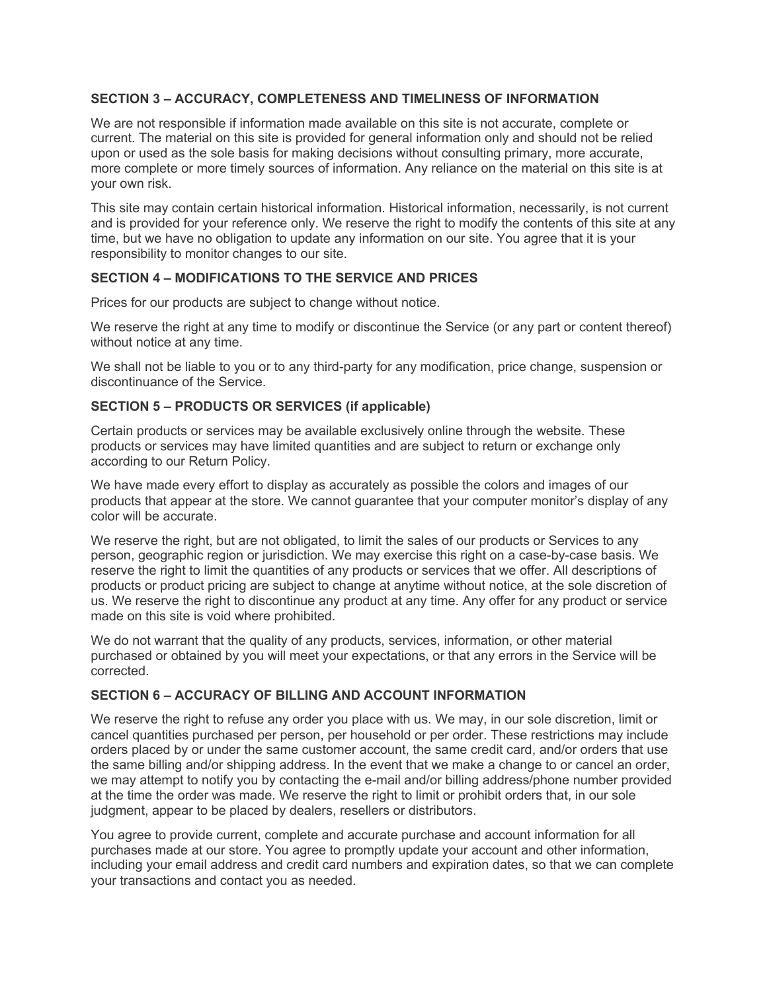## **SECTION 3 – ACCURACY, COMPLETENESS AND TIMELINESS OF INFORMATION**

We are not responsible if information made available on this site is not accurate, complete or current. The material on this site is provided for general information only and should not be relied upon or used as the sole basis for making decisions without consulting primary, more accurate, more complete or more timely sources of information. Any reliance on the material on this site is at your own risk.

This site may contain certain historical information. Historical information, necessarily, is not current and is provided for your reference only. We reserve the right to modify the contents of this site at any time, but we have no obligation to update any information on our site. You agree that it is your responsibility to monitor changes to our site.

### **SECTION 4 – MODIFICATIONS TO THE SERVICE AND PRICES**

Prices for our products are subject to change without notice.

We reserve the right at any time to modify or discontinue the Service (or any part or content thereof) without notice at any time.

We shall not be liable to you or to any third-party for any modification, price change, suspension or discontinuance of the Service.

## **SECTION 5 – PRODUCTS OR SERVICES (if applicable)**

Certain products or services may be available exclusively online through the website. These products or services may have limited quantities and are subject to return or exchange only according to our Return Policy.

We have made every effort to display as accurately as possible the colors and images of our products that appear at the store. We cannot guarantee that your computer monitor's display of any color will be accurate.

We reserve the right, but are not obligated, to limit the sales of our products or Services to any person, geographic region or jurisdiction. We may exercise this right on a case-by-case basis. We reserve the right to limit the quantities of any products or services that we offer. All descriptions of products or product pricing are subject to change at anytime without notice, at the sole discretion of us. We reserve the right to discontinue any product at any time. Any offer for any product or service made on this site is void where prohibited.

We do not warrant that the quality of any products, services, information, or other material purchased or obtained by you will meet your expectations, or that any errors in the Service will be corrected.

### **SECTION 6 – ACCURACY OF BILLING AND ACCOUNT INFORMATION**

We reserve the right to refuse any order you place with us. We may, in our sole discretion, limit or cancel quantities purchased per person, per household or per order. These restrictions may include orders placed by or under the same customer account, the same credit card, and/or orders that use the same billing and/or shipping address. In the event that we make a change to or cancel an order, we may attempt to notify you by contacting the e-mail and/or billing address/phone number provided at the time the order was made. We reserve the right to limit or prohibit orders that, in our sole judgment, appear to be placed by dealers, resellers or distributors.

You agree to provide current, complete and accurate purchase and account information for all purchases made at our store. You agree to promptly update your account and other information, including your email address and credit card numbers and expiration dates, so that we can complete your transactions and contact you as needed.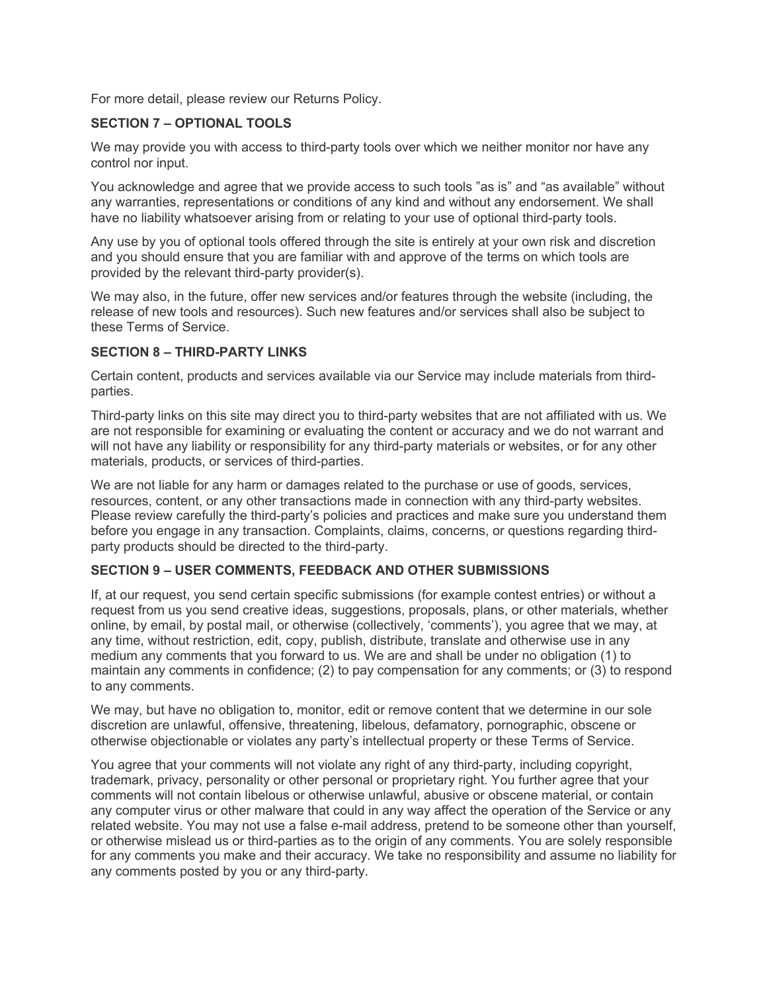For more detail, please review our Returns Policy.

## **SECTION 7 – OPTIONAL TOOLS**

We may provide you with access to third-party tools over which we neither monitor nor have any control nor input.

You acknowledge and agree that we provide access to such tools "as is" and "as available" without any warranties, representations or conditions of any kind and without any endorsement. We shall have no liability whatsoever arising from or relating to your use of optional third-party tools.

Any use by you of optional tools offered through the site is entirely at your own risk and discretion and you should ensure that you are familiar with and approve of the terms on which tools are provided by the relevant third-party provider(s).

We may also, in the future, offer new services and/or features through the website (including, the release of new tools and resources). Such new features and/or services shall also be subject to these Terms of Service.

### **SECTION 8 – THIRD-PARTY LINKS**

Certain content, products and services available via our Service may include materials from thirdparties.

Third-party links on this site may direct you to third-party websites that are not affiliated with us. We are not responsible for examining or evaluating the content or accuracy and we do not warrant and will not have any liability or responsibility for any third-party materials or websites, or for any other materials, products, or services of third-parties.

We are not liable for any harm or damages related to the purchase or use of goods, services, resources, content, or any other transactions made in connection with any third-party websites. Please review carefully the third-party's policies and practices and make sure you understand them before you engage in any transaction. Complaints, claims, concerns, or questions regarding thirdparty products should be directed to the third-party.

### **SECTION 9 – USER COMMENTS, FEEDBACK AND OTHER SUBMISSIONS**

If, at our request, you send certain specific submissions (for example contest entries) or without a request from us you send creative ideas, suggestions, proposals, plans, or other materials, whether online, by email, by postal mail, or otherwise (collectively, 'comments'), you agree that we may, at any time, without restriction, edit, copy, publish, distribute, translate and otherwise use in any medium any comments that you forward to us. We are and shall be under no obligation (1) to maintain any comments in confidence; (2) to pay compensation for any comments; or (3) to respond to any comments.

We may, but have no obligation to, monitor, edit or remove content that we determine in our sole discretion are unlawful, offensive, threatening, libelous, defamatory, pornographic, obscene or otherwise objectionable or violates any party's intellectual property or these Terms of Service.

You agree that your comments will not violate any right of any third-party, including copyright, trademark, privacy, personality or other personal or proprietary right. You further agree that your comments will not contain libelous or otherwise unlawful, abusive or obscene material, or contain any computer virus or other malware that could in any way affect the operation of the Service or any related website. You may not use a false e-mail address, pretend to be someone other than yourself, or otherwise mislead us or third-parties as to the origin of any comments. You are solely responsible for any comments you make and their accuracy. We take no responsibility and assume no liability for any comments posted by you or any third-party.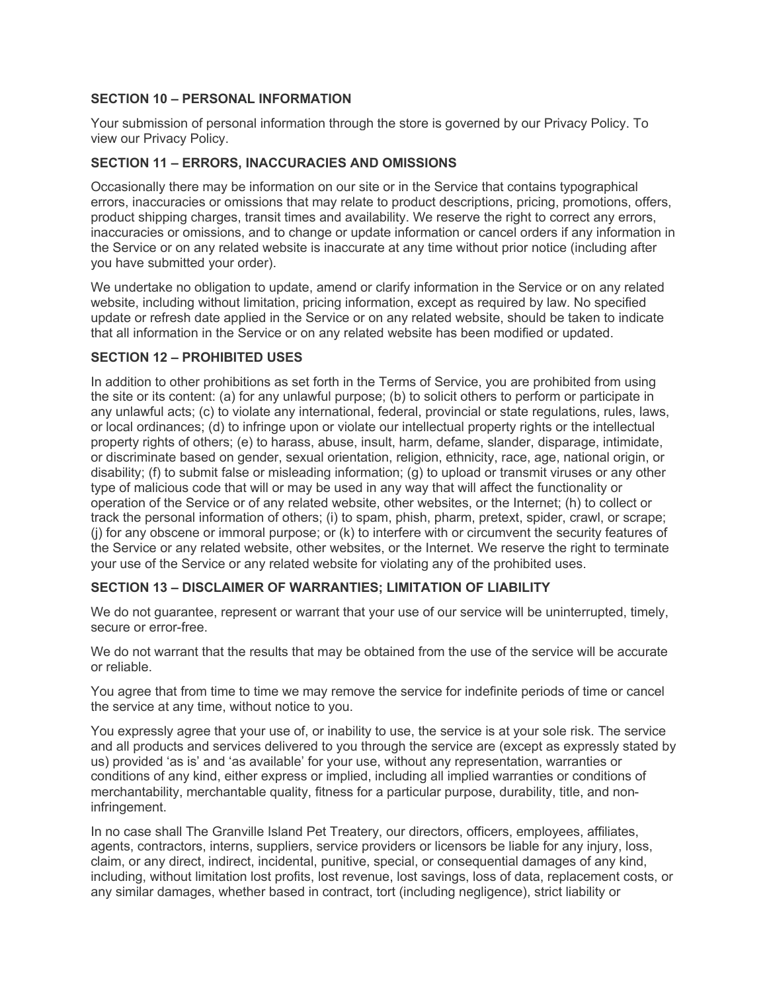## **SECTION 10 – PERSONAL INFORMATION**

Your submission of personal information through the store is governed by our Privacy Policy. To view our Privacy Policy.

## **SECTION 11 – ERRORS, INACCURACIES AND OMISSIONS**

Occasionally there may be information on our site or in the Service that contains typographical errors, inaccuracies or omissions that may relate to product descriptions, pricing, promotions, offers, product shipping charges, transit times and availability. We reserve the right to correct any errors, inaccuracies or omissions, and to change or update information or cancel orders if any information in the Service or on any related website is inaccurate at any time without prior notice (including after you have submitted your order).

We undertake no obligation to update, amend or clarify information in the Service or on any related website, including without limitation, pricing information, except as required by law. No specified update or refresh date applied in the Service or on any related website, should be taken to indicate that all information in the Service or on any related website has been modified or updated.

## **SECTION 12 – PROHIBITED USES**

In addition to other prohibitions as set forth in the Terms of Service, you are prohibited from using the site or its content: (a) for any unlawful purpose; (b) to solicit others to perform or participate in any unlawful acts; (c) to violate any international, federal, provincial or state regulations, rules, laws, or local ordinances; (d) to infringe upon or violate our intellectual property rights or the intellectual property rights of others; (e) to harass, abuse, insult, harm, defame, slander, disparage, intimidate, or discriminate based on gender, sexual orientation, religion, ethnicity, race, age, national origin, or disability; (f) to submit false or misleading information; (g) to upload or transmit viruses or any other type of malicious code that will or may be used in any way that will affect the functionality or operation of the Service or of any related website, other websites, or the Internet; (h) to collect or track the personal information of others; (i) to spam, phish, pharm, pretext, spider, crawl, or scrape; (j) for any obscene or immoral purpose; or (k) to interfere with or circumvent the security features of the Service or any related website, other websites, or the Internet. We reserve the right to terminate your use of the Service or any related website for violating any of the prohibited uses.

### **SECTION 13 – DISCLAIMER OF WARRANTIES; LIMITATION OF LIABILITY**

We do not guarantee, represent or warrant that your use of our service will be uninterrupted, timely, secure or error-free.

We do not warrant that the results that may be obtained from the use of the service will be accurate or reliable.

You agree that from time to time we may remove the service for indefinite periods of time or cancel the service at any time, without notice to you.

You expressly agree that your use of, or inability to use, the service is at your sole risk. The service and all products and services delivered to you through the service are (except as expressly stated by us) provided 'as is' and 'as available' for your use, without any representation, warranties or conditions of any kind, either express or implied, including all implied warranties or conditions of merchantability, merchantable quality, fitness for a particular purpose, durability, title, and noninfringement.

In no case shall The Granville Island Pet Treatery, our directors, officers, employees, affiliates, agents, contractors, interns, suppliers, service providers or licensors be liable for any injury, loss, claim, or any direct, indirect, incidental, punitive, special, or consequential damages of any kind, including, without limitation lost profits, lost revenue, lost savings, loss of data, replacement costs, or any similar damages, whether based in contract, tort (including negligence), strict liability or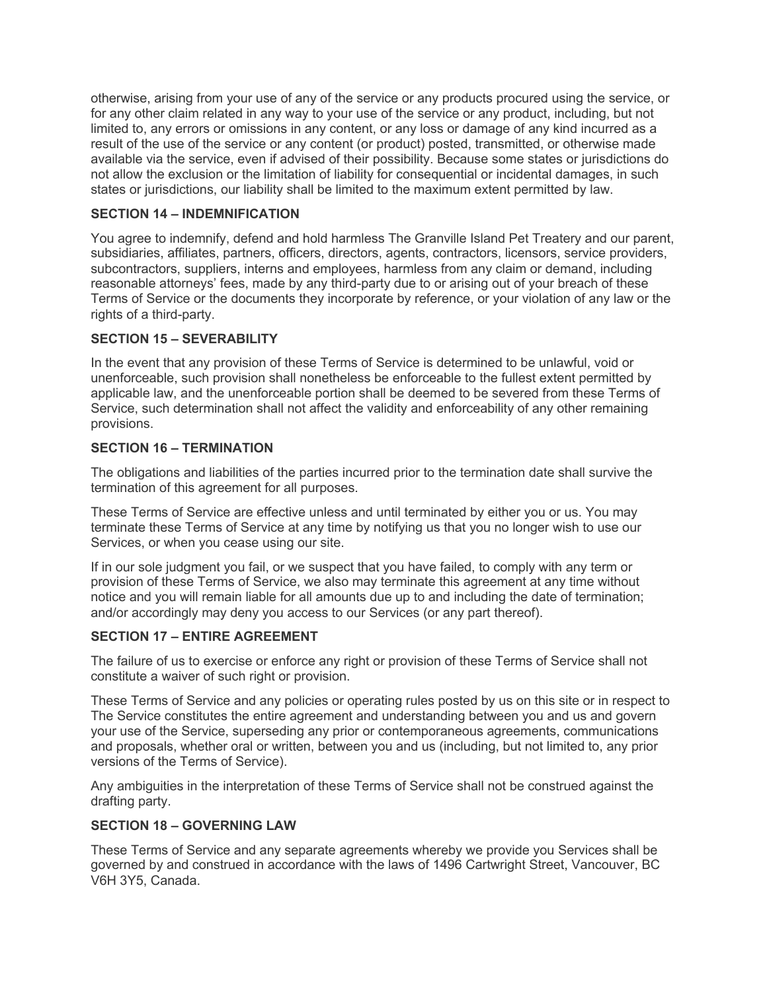otherwise, arising from your use of any of the service or any products procured using the service, or for any other claim related in any way to your use of the service or any product, including, but not limited to, any errors or omissions in any content, or any loss or damage of any kind incurred as a result of the use of the service or any content (or product) posted, transmitted, or otherwise made available via the service, even if advised of their possibility. Because some states or jurisdictions do not allow the exclusion or the limitation of liability for consequential or incidental damages, in such states or jurisdictions, our liability shall be limited to the maximum extent permitted by law.

# **SECTION 14 – INDEMNIFICATION**

You agree to indemnify, defend and hold harmless The Granville Island Pet Treatery and our parent, subsidiaries, affiliates, partners, officers, directors, agents, contractors, licensors, service providers, subcontractors, suppliers, interns and employees, harmless from any claim or demand, including reasonable attorneys' fees, made by any third-party due to or arising out of your breach of these Terms of Service or the documents they incorporate by reference, or your violation of any law or the rights of a third-party.

## **SECTION 15 – SEVERABILITY**

In the event that any provision of these Terms of Service is determined to be unlawful, void or unenforceable, such provision shall nonetheless be enforceable to the fullest extent permitted by applicable law, and the unenforceable portion shall be deemed to be severed from these Terms of Service, such determination shall not affect the validity and enforceability of any other remaining provisions.

## **SECTION 16 – TERMINATION**

The obligations and liabilities of the parties incurred prior to the termination date shall survive the termination of this agreement for all purposes.

These Terms of Service are effective unless and until terminated by either you or us. You may terminate these Terms of Service at any time by notifying us that you no longer wish to use our Services, or when you cease using our site.

If in our sole judgment you fail, or we suspect that you have failed, to comply with any term or provision of these Terms of Service, we also may terminate this agreement at any time without notice and you will remain liable for all amounts due up to and including the date of termination; and/or accordingly may deny you access to our Services (or any part thereof).

### **SECTION 17 – ENTIRE AGREEMENT**

The failure of us to exercise or enforce any right or provision of these Terms of Service shall not constitute a waiver of such right or provision.

These Terms of Service and any policies or operating rules posted by us on this site or in respect to The Service constitutes the entire agreement and understanding between you and us and govern your use of the Service, superseding any prior or contemporaneous agreements, communications and proposals, whether oral or written, between you and us (including, but not limited to, any prior versions of the Terms of Service).

Any ambiguities in the interpretation of these Terms of Service shall not be construed against the drafting party.

# **SECTION 18 – GOVERNING LAW**

These Terms of Service and any separate agreements whereby we provide you Services shall be governed by and construed in accordance with the laws of 1496 Cartwright Street, Vancouver, BC V6H 3Y5, Canada.